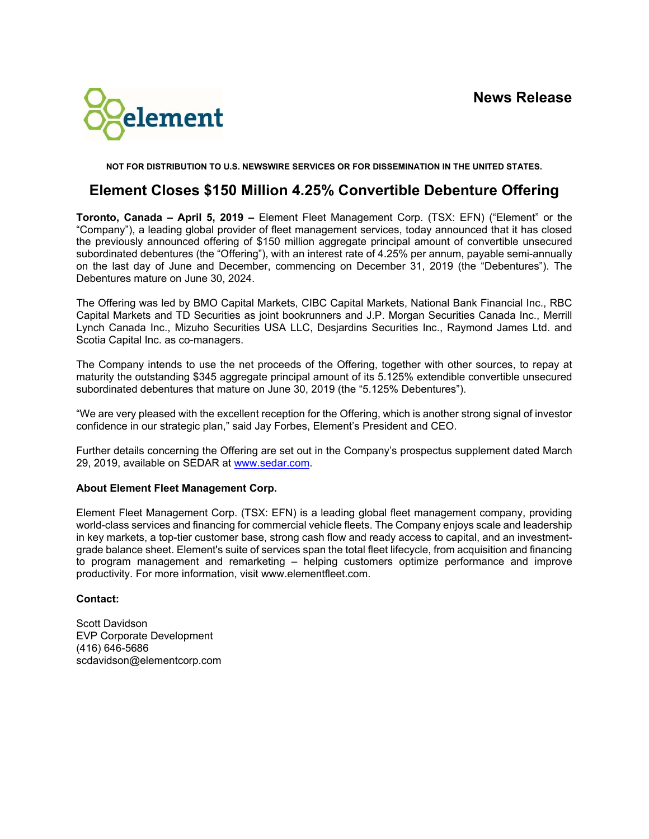

**NOT FOR DISTRIBUTION TO U.S. NEWSWIRE SERVICES OR FOR DISSEMINATION IN THE UNITED STATES.** 

## **Element Closes \$150 Million 4.25% Convertible Debenture Offering**

**Toronto, Canada – April 5, 2019 –** Element Fleet Management Corp. (TSX: EFN) ("Element" or the "Company"), a leading global provider of fleet management services, today announced that it has closed the previously announced offering of \$150 million aggregate principal amount of convertible unsecured subordinated debentures (the "Offering"), with an interest rate of 4.25% per annum, payable semi-annually on the last day of June and December, commencing on December 31, 2019 (the "Debentures"). The Debentures mature on June 30, 2024.

The Offering was led by BMO Capital Markets, CIBC Capital Markets, National Bank Financial Inc., RBC Capital Markets and TD Securities as joint bookrunners and J.P. Morgan Securities Canada Inc., Merrill Lynch Canada Inc., Mizuho Securities USA LLC, Desjardins Securities Inc., Raymond James Ltd. and Scotia Capital Inc. as co-managers.

The Company intends to use the net proceeds of the Offering, together with other sources, to repay at maturity the outstanding \$345 aggregate principal amount of its 5.125% extendible convertible unsecured subordinated debentures that mature on June 30, 2019 (the "5.125% Debentures").

"We are very pleased with the excellent reception for the Offering, which is another strong signal of investor confidence in our strategic plan," said Jay Forbes, Element's President and CEO.

Further details concerning the Offering are set out in the Company's prospectus supplement dated March 29, 2019, available on SEDAR at www.sedar.com.

## **About Element Fleet Management Corp.**

Element Fleet Management Corp. (TSX: EFN) is a leading global fleet management company, providing world-class services and financing for commercial vehicle fleets. The Company enjoys scale and leadership in key markets, a top-tier customer base, strong cash flow and ready access to capital, and an investmentgrade balance sheet. Element's suite of services span the total fleet lifecycle, from acquisition and financing to program management and remarketing – helping customers optimize performance and improve productivity. For more information, visit www.elementfleet.com.

## **Contact:**

Scott Davidson EVP Corporate Development (416) 646-5686 scdavidson@elementcorp.com